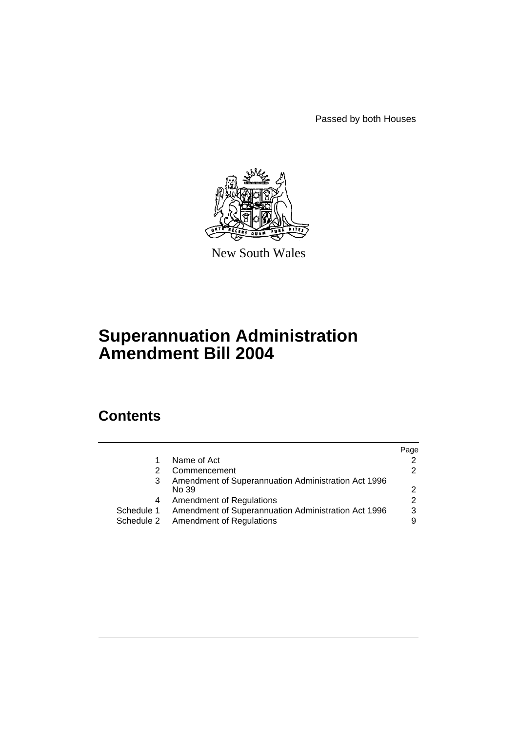Passed by both Houses



New South Wales

# **Superannuation Administration Amendment Bill 2004**

# **Contents**

|                                                     | Page                                |
|-----------------------------------------------------|-------------------------------------|
| Name of Act                                         | 2                                   |
| Commencement                                        | $\mathcal{P}$                       |
| Amendment of Superannuation Administration Act 1996 |                                     |
| No 39                                               | $\mathcal{P}$                       |
| <b>Amendment of Regulations</b>                     | $\mathcal{P}$                       |
| Amendment of Superannuation Administration Act 1996 | 3                                   |
|                                                     | 9                                   |
|                                                     | Schedule 2 Amendment of Regulations |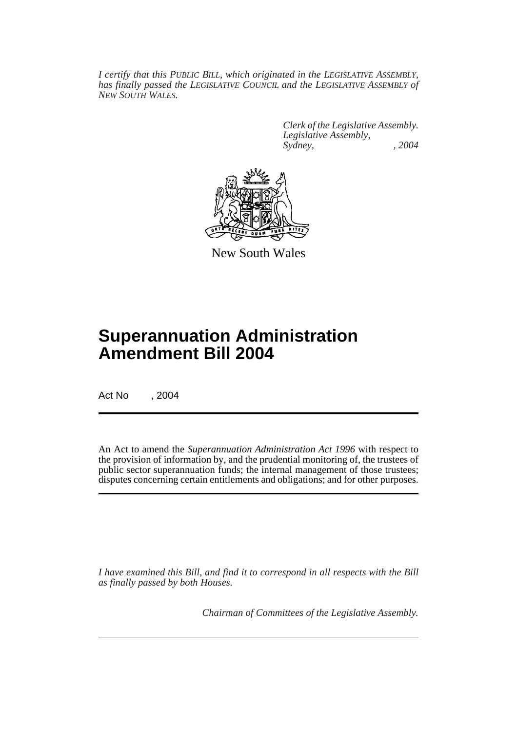*I certify that this PUBLIC BILL, which originated in the LEGISLATIVE ASSEMBLY, has finally passed the LEGISLATIVE COUNCIL and the LEGISLATIVE ASSEMBLY of NEW SOUTH WALES.*

> *Clerk of the Legislative Assembly. Legislative Assembly, Sydney, , 2004*



New South Wales

# **Superannuation Administration Amendment Bill 2004**

Act No , 2004

An Act to amend the *Superannuation Administration Act 1996* with respect to the provision of information by, and the prudential monitoring of, the trustees of public sector superannuation funds; the internal management of those trustees; disputes concerning certain entitlements and obligations; and for other purposes.

*I have examined this Bill, and find it to correspond in all respects with the Bill as finally passed by both Houses.*

*Chairman of Committees of the Legislative Assembly.*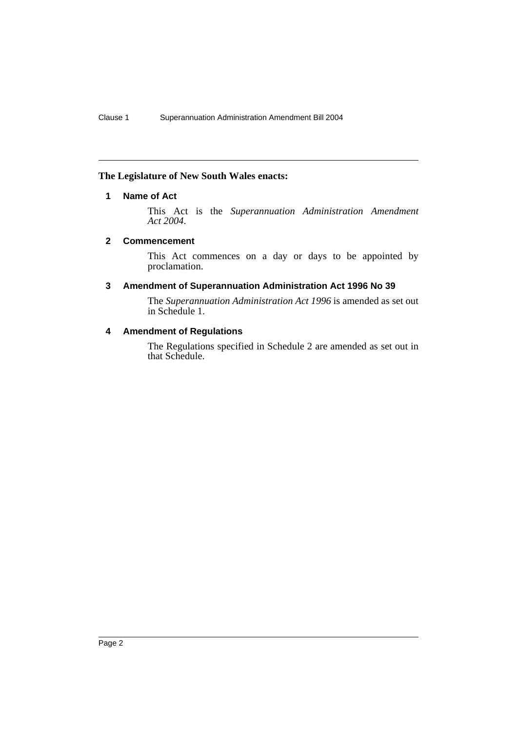# **The Legislature of New South Wales enacts:**

# **1 Name of Act**

This Act is the *Superannuation Administration Amendment Act 2004*.

#### **2 Commencement**

This Act commences on a day or days to be appointed by proclamation.

# **3 Amendment of Superannuation Administration Act 1996 No 39**

The *Superannuation Administration Act 1996* is amended as set out in Schedule 1.

# **4 Amendment of Regulations**

The Regulations specified in Schedule 2 are amended as set out in that Schedule.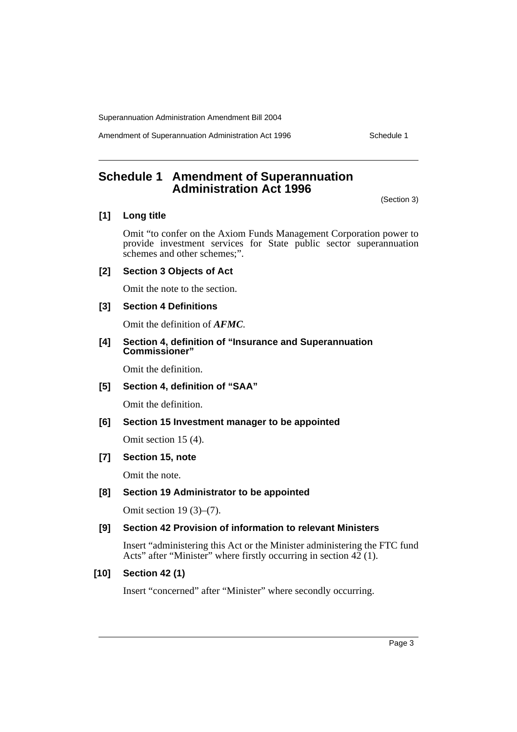Amendment of Superannuation Administration Act 1996 Schedule 1

**Schedule 1 Amendment of Superannuation Administration Act 1996**

(Section 3)

# **[1] Long title**

Omit "to confer on the Axiom Funds Management Corporation power to provide investment services for State public sector superannuation schemes and other schemes;".

#### **[2] Section 3 Objects of Act**

Omit the note to the section.

# **[3] Section 4 Definitions**

Omit the definition of *AFMC*.

#### **[4] Section 4, definition of "Insurance and Superannuation Commissioner"**

Omit the definition.

# **[5] Section 4, definition of "SAA"**

Omit the definition.

# **[6] Section 15 Investment manager to be appointed**

Omit section 15 (4).

# **[7] Section 15, note**

Omit the note.

#### **[8] Section 19 Administrator to be appointed**

Omit section 19 (3)–(7).

#### **[9] Section 42 Provision of information to relevant Ministers**

Insert "administering this Act or the Minister administering the FTC fund Acts" after "Minister" where firstly occurring in section  $42(1)$ .

#### **[10] Section 42 (1)**

Insert "concerned" after "Minister" where secondly occurring.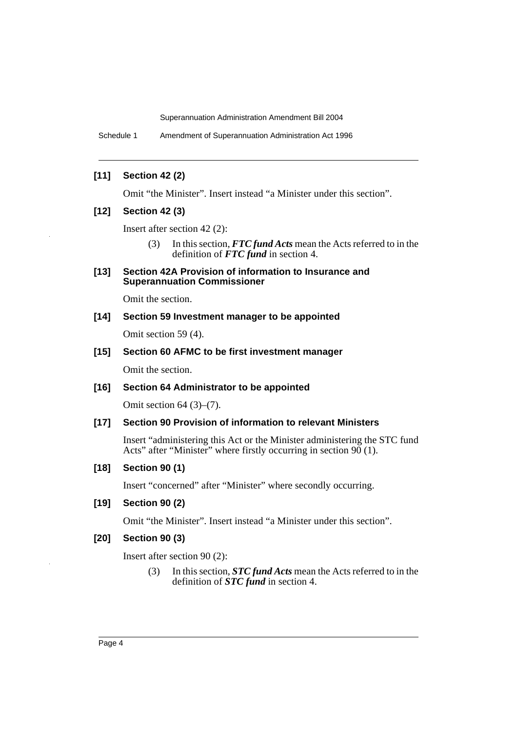Schedule 1 Amendment of Superannuation Administration Act 1996

# **[11] Section 42 (2)**

Omit "the Minister". Insert instead "a Minister under this section".

#### **[12] Section 42 (3)**

Insert after section 42 (2):

(3) In this section, *FTC fund Acts* mean the Acts referred to in the definition of *FTC fund* in section 4.

#### **[13] Section 42A Provision of information to Insurance and Superannuation Commissioner**

Omit the section.

# **[14] Section 59 Investment manager to be appointed**

Omit section 59 (4).

#### **[15] Section 60 AFMC to be first investment manager**

Omit the section.

#### **[16] Section 64 Administrator to be appointed**

Omit section 64 (3)–(7).

#### **[17] Section 90 Provision of information to relevant Ministers**

Insert "administering this Act or the Minister administering the STC fund Acts" after "Minister" where firstly occurring in section  $90(1)$ .

# **[18] Section 90 (1)**

Insert "concerned" after "Minister" where secondly occurring.

# **[19] Section 90 (2)**

Omit "the Minister". Insert instead "a Minister under this section".

#### **[20] Section 90 (3)**

Insert after section 90 (2):

(3) In this section, *STC fund Acts* mean the Acts referred to in the definition of *STC fund* in section 4.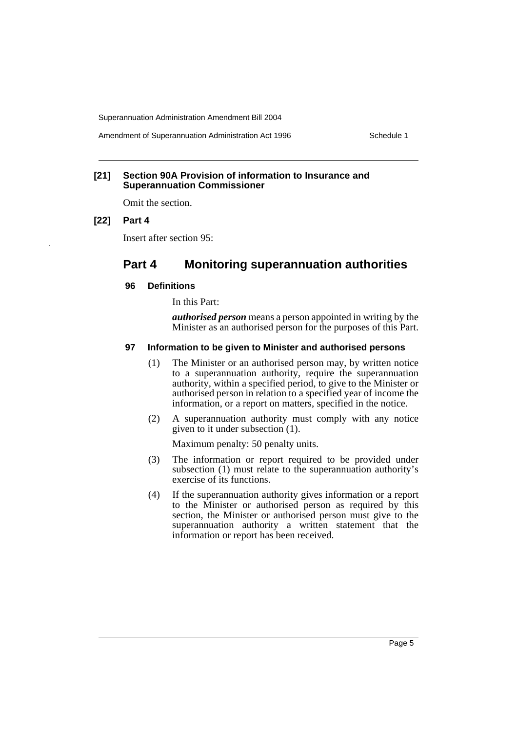Amendment of Superannuation Administration Act 1996 Schedule 1

#### **[21] Section 90A Provision of information to Insurance and Superannuation Commissioner**

Omit the section.

#### **[22] Part 4**

Insert after section 95:

# **Part 4 Monitoring superannuation authorities**

#### **96 Definitions**

In this Part:

*authorised person* means a person appointed in writing by the Minister as an authorised person for the purposes of this Part.

#### **97 Information to be given to Minister and authorised persons**

- (1) The Minister or an authorised person may, by written notice to a superannuation authority, require the superannuation authority, within a specified period, to give to the Minister or authorised person in relation to a specified year of income the information, or a report on matters, specified in the notice.
- (2) A superannuation authority must comply with any notice given to it under subsection (1).

Maximum penalty: 50 penalty units.

- (3) The information or report required to be provided under subsection (1) must relate to the superannuation authority's exercise of its functions.
- (4) If the superannuation authority gives information or a report to the Minister or authorised person as required by this section, the Minister or authorised person must give to the superannuation authority a written statement that the information or report has been received.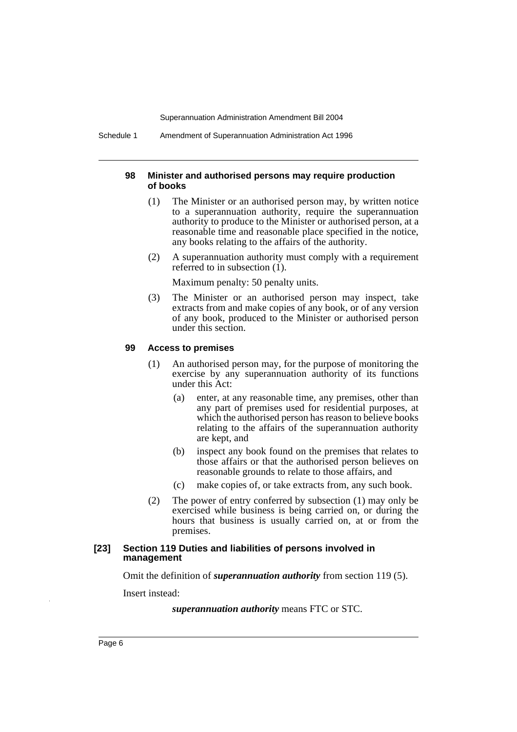Schedule 1 Amendment of Superannuation Administration Act 1996

#### **98 Minister and authorised persons may require production of books**

- (1) The Minister or an authorised person may, by written notice to a superannuation authority, require the superannuation authority to produce to the Minister or authorised person, at a reasonable time and reasonable place specified in the notice, any books relating to the affairs of the authority.
- (2) A superannuation authority must comply with a requirement referred to in subsection (1).

Maximum penalty: 50 penalty units.

(3) The Minister or an authorised person may inspect, take extracts from and make copies of any book, or of any version of any book, produced to the Minister or authorised person under this section.

#### **99 Access to premises**

- (1) An authorised person may, for the purpose of monitoring the exercise by any superannuation authority of its functions under this Act:
	- (a) enter, at any reasonable time, any premises, other than any part of premises used for residential purposes, at which the authorised person has reason to believe books relating to the affairs of the superannuation authority are kept, and
	- (b) inspect any book found on the premises that relates to those affairs or that the authorised person believes on reasonable grounds to relate to those affairs, and
	- (c) make copies of, or take extracts from, any such book.
- (2) The power of entry conferred by subsection (1) may only be exercised while business is being carried on, or during the hours that business is usually carried on, at or from the premises.

#### **[23] Section 119 Duties and liabilities of persons involved in management**

Omit the definition of *superannuation authority* from section 119 (5).

Insert instead:

*superannuation authority* means FTC or STC.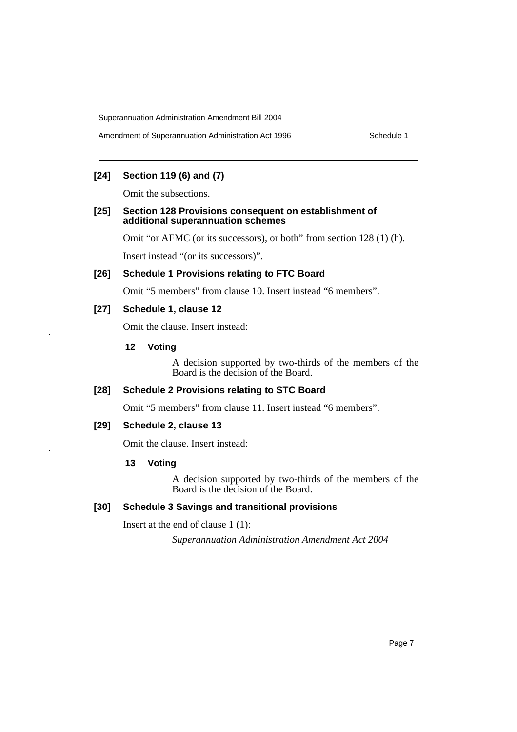# **[24] Section 119 (6) and (7)**

Omit the subsections.

#### **[25] Section 128 Provisions consequent on establishment of additional superannuation schemes**

Omit "or AFMC (or its successors), or both" from section 128 (1) (h).

Insert instead "(or its successors)".

#### **[26] Schedule 1 Provisions relating to FTC Board**

Omit "5 members" from clause 10. Insert instead "6 members".

# **[27] Schedule 1, clause 12**

Omit the clause. Insert instead:

#### **12 Voting**

A decision supported by two-thirds of the members of the Board is the decision of the Board.

# **[28] Schedule 2 Provisions relating to STC Board**

Omit "5 members" from clause 11. Insert instead "6 members".

#### **[29] Schedule 2, clause 13**

Omit the clause. Insert instead:

#### **13 Voting**

A decision supported by two-thirds of the members of the Board is the decision of the Board.

### **[30] Schedule 3 Savings and transitional provisions**

Insert at the end of clause 1 (1):

*Superannuation Administration Amendment Act 2004*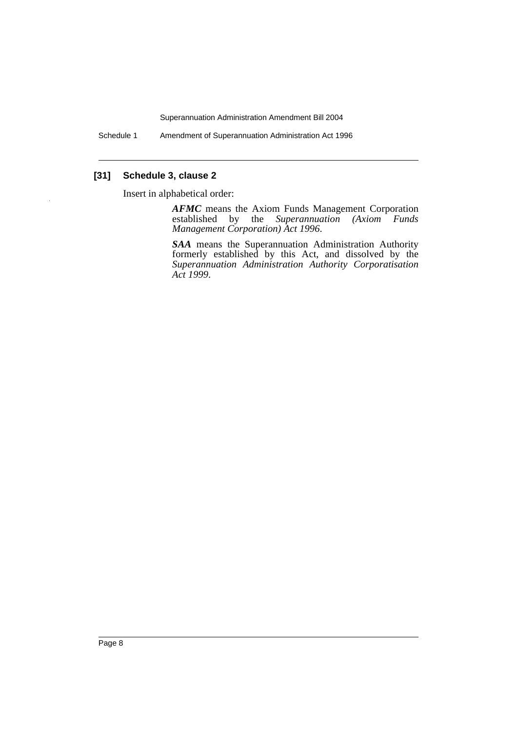Schedule 1 Amendment of Superannuation Administration Act 1996

# **[31] Schedule 3, clause 2**

Insert in alphabetical order:

*AFMC* means the Axiom Funds Management Corporation established by the *Superannuation (Axiom Funds Management Corporation) Act 1996*.

*SAA* means the Superannuation Administration Authority formerly established by this Act, and dissolved by the *Superannuation Administration Authority Corporatisation Act 1999*.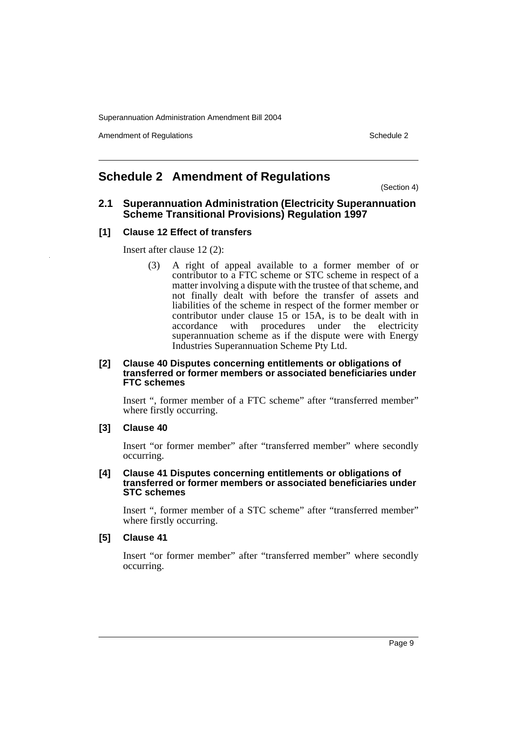Amendment of Regulations **Schedule 2** and  $\overline{a}$  3 and  $\overline{b}$  3 and  $\overline{b}$  3 and  $\overline{b}$  3 and  $\overline{b}$  3 and  $\overline{b}$  3 and  $\overline{a}$  3 and  $\overline{a}$  3 and  $\overline{a}$  3 and  $\overline{a}$  3 and  $\overline{a}$  3 and  $\overline{a}$  3 and

# **Schedule 2 Amendment of Regulations**

(Section 4)

# **2.1 Superannuation Administration (Electricity Superannuation Scheme Transitional Provisions) Regulation 1997**

# **[1] Clause 12 Effect of transfers**

Insert after clause 12 (2):

(3) A right of appeal available to a former member of or contributor to a FTC scheme or STC scheme in respect of a matter involving a dispute with the trustee of that scheme, and not finally dealt with before the transfer of assets and liabilities of the scheme in respect of the former member or contributor under clause 15 or 15A, is to be dealt with in accordance with procedures under the electricity accordance with procedures under the superannuation scheme as if the dispute were with Energy Industries Superannuation Scheme Pty Ltd.

#### **[2] Clause 40 Disputes concerning entitlements or obligations of transferred or former members or associated beneficiaries under FTC schemes**

Insert ", former member of a FTC scheme" after "transferred member" where firstly occurring.

### **[3] Clause 40**

Insert "or former member" after "transferred member" where secondly occurring.

#### **[4] Clause 41 Disputes concerning entitlements or obligations of transferred or former members or associated beneficiaries under STC schemes**

Insert ", former member of a STC scheme" after "transferred member" where firstly occurring.

#### **[5] Clause 41**

Insert "or former member" after "transferred member" where secondly occurring.